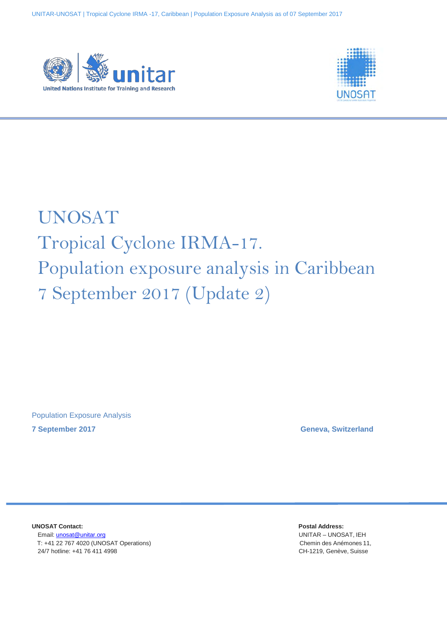



# UNOSAT Tropical Cyclone IRMA-17. Population exposure analysis in Caribbean 7 September 2017 (Update 2)

Population Exposure Analysis **7 September 2017 Geneva, Switzerland**

**UNOSAT Contact: Postal Address:** Email: [unosat@unitar.org](mailto:unosat@unitar.org) UNITAR – UNOSAT, IEH T: +41 22 767 4020 (UNOSAT Operations) Chemin des Anémones 11, 24/7 hotline: +41 76 411 4998 CH-1219, Genève, Suisse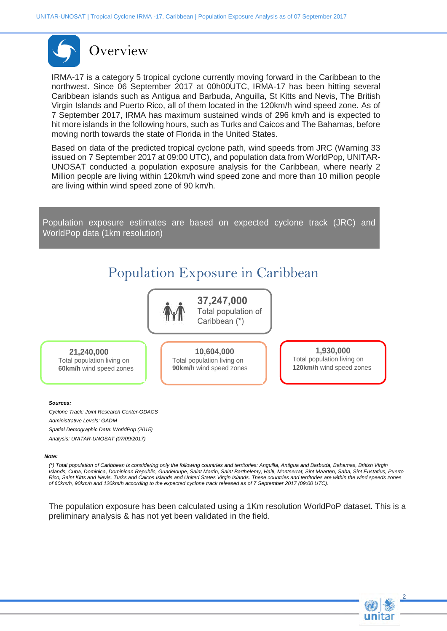

IRMA-17 is a category 5 tropical cyclone currently moving forward in the Caribbean to the northwest. Since 06 September 2017 at 00h00UTC, IRMA-17 has been hitting several Caribbean islands such as Antigua and Barbuda, Anguilla, St Kitts and Nevis, The British Virgin Islands and Puerto Rico, all of them located in the 120km/h wind speed zone. As of 7 September 2017, IRMA has maximum sustained winds of 296 km/h and is expected to hit more islands in the following hours, such as Turks and Caicos and The Bahamas, before moving north towards the state of Florida in the United States.

Based on data of the predicted tropical cyclone path, wind speeds from JRC (Warning 33 issued on 7 September 2017 at 09:00 UTC), and population data from WorldPop, UNITAR-UNOSAT conducted a population exposure analysis for the Caribbean, where nearly 2 Million people are living within 120km/h wind speed zone and more than 10 million people are living within wind speed zone of 90 km/h.

Population exposure estimates are based on expected cyclone track (JRC) and WorldPop data (1km resolution)

## Population Exposure in Caribbean



37,247,000 Total population of Caribbean (\*)

 **21,240,000**

Total population living on **60km/h** wind speed zones **92, 701, 100** Total population living on Total population of **90km/h** wind speed zones **10,604,000**

**92, 701, 100** Total population living on Total population of **120km/h** wind speed zones**1,930,000**

2

#### *Sources:*

*Cyclone Track: Joint Research Center-GDACS Administrative Levels: GADM Spatial Demographic Data: WorldPop (2015) Analysis: UNITAR-UNOSAT (07/09/2017)*

#### *Note:*

*(\*) Total population of Caribbean is considering only the following countries and territories: Anguilla, Antigua and Barbuda, Bahamas, British Virgin Islands, Cuba, Dominica, Dominican Republic, Guadeloupe, Saint Martin, Saint Barthelemy, Haiti, Montserrat, Sint Maarten, Saba, Sint Eustatius, Puerto Rico, Saint Kitts and Nevis, Turks and Caicos Islands and United States Virgin Islands. These countries and territories are within the wind speeds zones of 60km/h, 90km/h and 120km/h according to the expected cyclone track released as of 7 September 2017 (09:00 UTC).*

The population exposure has been calculated using a 1Km resolution WorldPoP dataset. This is a preliminary analysis & has not yet been validated in the field.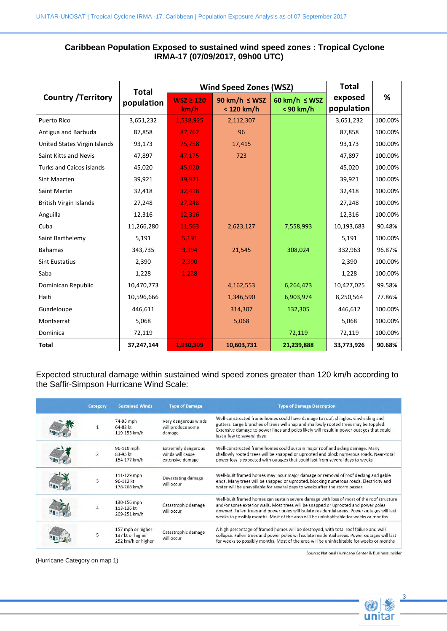### **Caribbean Population Exposed to sustained wind speed zones : Tropical Cyclone IRMA-17 (07/09/2017, 09h00 UTC)**

| <b>Country / Territory</b>      | <b>Total</b><br>population | <b>Wind Speed Zones (WSZ)</b> |                                    |                                 | <b>Total</b>          |         |
|---------------------------------|----------------------------|-------------------------------|------------------------------------|---------------------------------|-----------------------|---------|
|                                 |                            | $WSZ \ge 120$<br>km/h         | 90 km/h $\leq$ WSZ<br>$< 120$ km/h | 60 km/h $\leq$ WSZ<br>< 90 km/h | exposed<br>population | %       |
| Puerto Rico                     | 3,651,232                  | 1,538,925                     | 2,112,307                          |                                 | 3,651,232             | 100.00% |
| Antigua and Barbuda             | 87,858                     | 87,762                        | 96                                 |                                 | 87,858                | 100.00% |
| United States Virgin Islands    | 93,173                     | 75,758                        | 17,415                             |                                 | 93,173                | 100.00% |
| Saint Kitts and Nevis           | 47,897                     | 47,175                        | 723                                |                                 | 47,897                | 100.00% |
| <b>Turks and Caicos islands</b> | 45,020                     | 45,020                        |                                    |                                 | 45,020                | 100.00% |
| Sint Maarten                    | 39,921                     | 39,921                        |                                    |                                 | 39,921                | 100.00% |
| Saint Martin                    | 32,418                     | 32,418                        |                                    |                                 | 32,418                | 100.00% |
| <b>British Virgin Islands</b>   | 27,248                     | 27,248                        |                                    |                                 | 27,248                | 100.00% |
| Anguilla                        | 12,316                     | 12,316                        |                                    |                                 | 12,316                | 100.00% |
| Cuba                            | 11,266,280                 | 11,563                        | 2,623,127                          | 7,558,993                       | 10,193,683            | 90.48%  |
| Saint Barthelemy                | 5,191                      | 5,191                         |                                    |                                 | 5,191                 | 100.00% |
| <b>Bahamas</b>                  | 343,735                    | 3,394                         | 21,545                             | 308,024                         | 332,963               | 96.87%  |
| <b>Sint Eustatius</b>           | 2,390                      | 2,390                         |                                    |                                 | 2,390                 | 100.00% |
| Saba                            | 1,228                      | 1,228                         |                                    |                                 | 1,228                 | 100.00% |
| Dominican Republic              | 10,470,773                 |                               | 4,162,553                          | 6,264,473                       | 10,427,025            | 99.58%  |
| Haiti                           | 10,596,666                 |                               | 1,346,590                          | 6,903,974                       | 8,250,564             | 77.86%  |
| Guadeloupe                      | 446,611                    |                               | 314,307                            | 132,305                         | 446,612               | 100.00% |
| Montserrat                      | 5,068                      |                               | 5,068                              |                                 | 5,068                 | 100.00% |
| Dominica                        | 72,119                     |                               |                                    | 72,119                          | 72,119                | 100.00% |
| <b>Total</b>                    | 37,247,144                 | 1,930,309                     | 10,603,731                         | 21,239,888                      | 33,773,926            | 90.68%  |

Expected structural damage within sustained wind speed zones greater than 120 km/h according to the Saffir-Simpson Hurricane Wind Scale:

| <b>Category</b> | <b>Sustained Winds</b>                                      | <b>Type of Damage</b>                                              | <b>Type of Damage Description</b>                                                                                                                                                                                                                                                                                                                                       |
|-----------------|-------------------------------------------------------------|--------------------------------------------------------------------|-------------------------------------------------------------------------------------------------------------------------------------------------------------------------------------------------------------------------------------------------------------------------------------------------------------------------------------------------------------------------|
|                 | 74-95 mph<br>$64-82$ kt<br>119-153 km/h                     | Very dangerous winds<br>will produce some<br>damage                | Well-constructed frame homes could have damage to roof, shingles, vinyl siding and<br>gutters. Large branches of trees will snap and shallowly rooted trees may be toppled.<br>Extensive damage to power lines and poles likely will result in power outages that could<br>last a few to several days                                                                   |
|                 | 96-110 mph<br>83-95 kt<br>154-177 km/h                      | <b>Extremely dangerous</b><br>winds will cause<br>extensive damage | Well-constructed frame homes could sustain major roof and siding damage. Many<br>shallowly rooted trees will be snapped or uprooted and block numerous roads. Near-total<br>power loss is expected with outages that could last from several days to weeks                                                                                                              |
| 3               | 111-129 mph<br>96-112 kt<br>178-208 km/h                    | Devastating damage<br>will occur                                   | Well-built framed homes may incur major damage or removal of roof decking and gable<br>ends. Many trees will be snapped or uprooted, blocking numerous roads. Electricity and<br>water will be unavailable for several days to weeks after the storm passes                                                                                                             |
| $\overline{4}$  | 130-156 mph<br>113-136 kt<br>209-251 km/h                   | Catastrophic damage<br>will occur                                  | Well-built framed homes can sustain severe damage with loss of most of the roof structure<br>and/or some exterior walls. Most trees will be snapped or uprooted and power poles<br>downed. Fallen trees and power poles will isolate residential areas. Power outages will last<br>weeks to possibly months. Most of the area will be uninhabitable for weeks or months |
| 5               | 157 mph or higher<br>137 kt or higher<br>252 km/h or higher | Catastrophic damage<br>will occur                                  | A high percentage of framed homes will be destroyed, with total roof failure and wall<br>collapse. Fallen trees and power poles will isolate residential areas. Power outages will last<br>for weeks to possibly months. Most of the area will be uninhabitable for weeks or months                                                                                     |

(Hurricane Category on map 1)

Source: National Hurricane Center & Business Insider